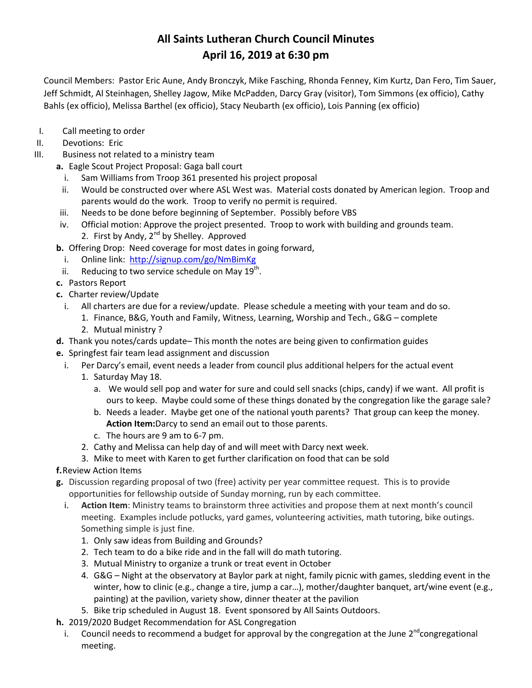# **All Saints Lutheran Church Council Minutes April 16, 2019 at 6:30 pm**

Council Members: Pastor Eric Aune, Andy Bronczyk, Mike Fasching, Rhonda Fenney, Kim Kurtz, Dan Fero, Tim Sauer, Jeff Schmidt, Al Steinhagen, Shelley Jagow, Mike McPadden, Darcy Gray (visitor), Tom Simmons (ex officio), Cathy Bahls (ex officio), Melissa Barthel (ex officio), Stacy Neubarth (ex officio), Lois Panning (ex officio)

- I. Call meeting to order
- II. Devotions: Eric
- III. Business not related to a ministry team
	- **a.** Eagle Scout Project Proposal: Gaga ball court
		- i. Sam Williams from Troop 361 presented his project proposal
		- ii. Would be constructed over where ASL West was. Material costs donated by American legion. Troop and parents would do the work. Troop to verify no permit is required.
	- iii. Needs to be done before beginning of September. Possibly before VBS
	- iv. Official motion: Approve the project presented. Troop to work with building and grounds team.
		- 2. First by Andy,  $2^{nd}$  by Shelley. Approved
	- **b.** Offering Drop: Need coverage for most dates in going forward,
		- i. Online link: <http://signup.com/go/NmBimKg>
	- ii. Reducing to two service schedule on May  $19^{th}$ .
	- **c.** Pastors Report
	- **c.** Charter review/Update
		- i. All charters are due for a review/update. Please schedule a meeting with your team and do so.
			- 1. Finance, B&G, Youth and Family, Witness, Learning, Worship and Tech., G&G complete
			- 2. Mutual ministry ?
	- **d.** Thank you notes/cards update– This month the notes are being given to confirmation guides
	- **e.** Springfest fair team lead assignment and discussion
		- i. Per Darcy's email, event needs a leader from council plus additional helpers for the actual event
			- 1. Saturday May 18.
				- a. We would sell pop and water for sure and could sell snacks (chips, candy) if we want. All profit is ours to keep. Maybe could some of these things donated by the congregation like the garage sale?
				- b. Needs a leader. Maybe get one of the national youth parents? That group can keep the money. **Action Item:**Darcy to send an email out to those parents.
				- c. The hours are 9 am to 6-7 pm.
			- 2. Cathy and Melissa can help day of and will meet with Darcy next week.
			- 3. Mike to meet with Karen to get further clarification on food that can be sold
	- **f.**Review Action Items
	- **g.** Discussion regarding proposal of two (free) activity per year committee request. This is to provide opportunities for fellowship outside of Sunday morning, run by each committee.
		- i. **Action Item**: Ministry teams to brainstorm three activities and propose them at next month's council meeting. Examples include potlucks, yard games, volunteering activities, math tutoring, bike outings. Something simple is just fine.
			- 1. Only saw ideas from Building and Grounds?
			- 2. Tech team to do a bike ride and in the fall will do math tutoring.
			- 3. Mutual Ministry to organize a trunk or treat event in October
			- 4. G&G Night at the observatory at Baylor park at night, family picnic with games, sledding event in the winter, how to clinic (e.g., change a tire, jump a car…), mother/daughter banquet, art/wine event (e.g., painting) at the pavilion, variety show, dinner theater at the pavilion
			- 5. Bike trip scheduled in August 18. Event sponsored by All Saints Outdoors.
	- **h.** 2019/2020 Budget Recommendation for ASL Congregation
		- i. Council needs to recommend a budget for approval by the congregation at the June 2<sup>nd</sup>congregational meeting.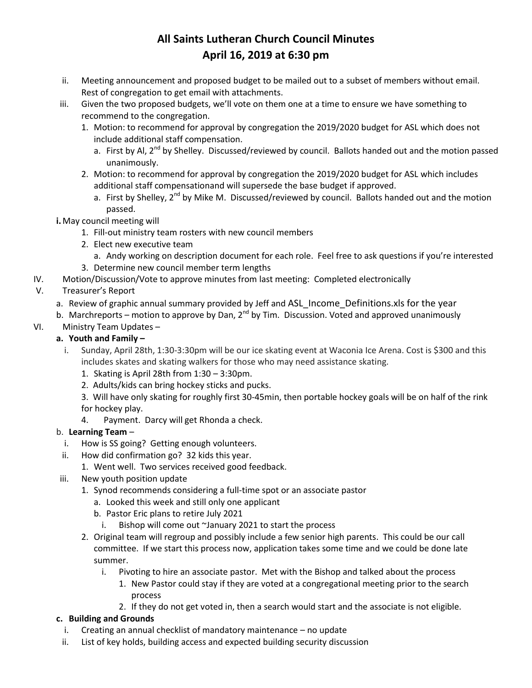# **All Saints Lutheran Church Council Minutes April 16, 2019 at 6:30 pm**

- ii. Meeting announcement and proposed budget to be mailed out to a subset of members without email. Rest of congregation to get email with attachments.
- iii. Given the two proposed budgets, we'll vote on them one at a time to ensure we have something to recommend to the congregation.
	- 1. Motion: to recommend for approval by congregation the 2019/2020 budget for ASL which does not include additional staff compensation.
		- a. First by Al,  $2^{nd}$  by Shelley. Discussed/reviewed by council. Ballots handed out and the motion passed unanimously.
	- 2. Motion: to recommend for approval by congregation the 2019/2020 budget for ASL which includes additional staff compensationand will supersede the base budget if approved.
		- a. First by Shelley,  $2^{nd}$  by Mike M. Discussed/reviewed by council. Ballots handed out and the motion passed.
- **i.**May council meeting will
	- 1. Fill-out ministry team rosters with new council members
	- 2. Elect new executive team
		- a. Andy working on description document for each role. Feel free to ask questions if you're interested
	- 3. Determine new council member term lengths
- IV. Motion/Discussion/Vote to approve minutes from last meeting: Completed electronically

## V. Treasurer's Report

- a. Review of graphic annual summary provided by Jeff and ASL Income Definitions.xls for the year
- b. Marchreports motion to approve by Dan, 2<sup>nd</sup> by Tim. Discussion. Voted and approved unanimously
- VI. Ministry Team Updates –

### **a. Youth and Family –**

- i. Sunday, April 28th, 1:30-3:30pm will be our ice skating event at Waconia Ice Arena. Cost is \$300 and this includes skates and skating walkers for those who may need assistance skating.
	- 1. Skating is April 28th from 1:30 3:30pm.
	- 2. Adults/kids can bring hockey sticks and pucks.

3. Will have only skating for roughly first 30-45min, then portable hockey goals will be on half of the rink for hockey play.

4. Payment. Darcy will get Rhonda a check.

#### b. **Learning Team** –

- i. How is SS going? Getting enough volunteers.
- ii. How did confirmation go? 32 kids this year.
	- 1. Went well. Two services received good feedback.
- iii. New youth position update
	- 1. Synod recommends considering a full-time spot or an associate pastor
		- a. Looked this week and still only one applicant
		- b. Pastor Eric plans to retire July 2021
			- i. Bishop will come out ~January 2021 to start the process
	- 2. Original team will regroup and possibly include a few senior high parents. This could be our call committee. If we start this process now, application takes some time and we could be done late summer.
		- i. Pivoting to hire an associate pastor. Met with the Bishop and talked about the process
			- 1. New Pastor could stay if they are voted at a congregational meeting prior to the search process
			- 2. If they do not get voted in, then a search would start and the associate is not eligible.

#### **c. Building and Grounds**

- i. Creating an annual checklist of mandatory maintenance no update
- ii. List of key holds, building access and expected building security discussion